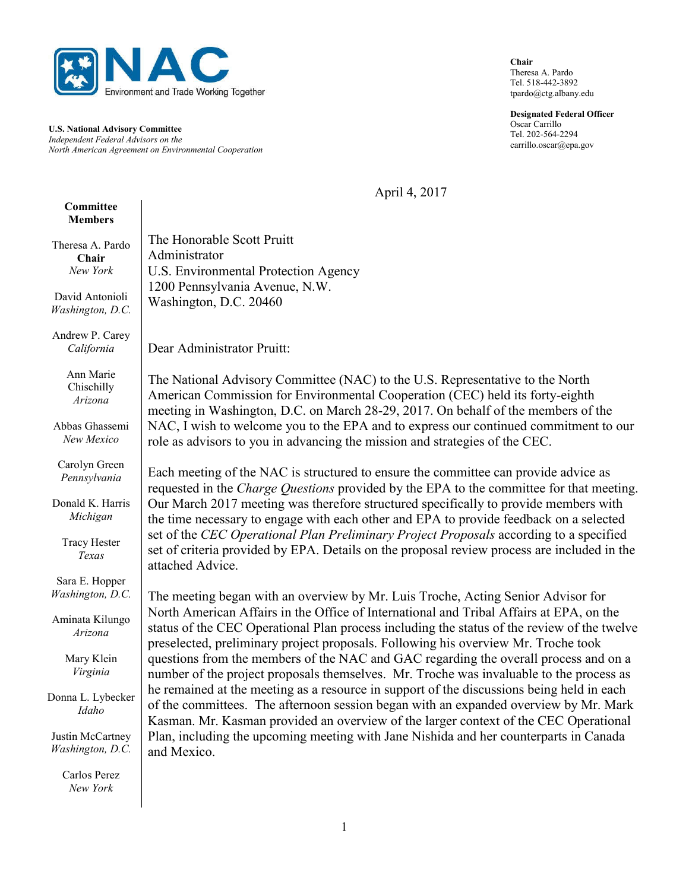

**U.S. National Advisory Committee** *Independent Federal Advisors on the North American Agreement on Environmental Cooperation* **Chair** Theresa A. Pardo Tel. 518-442-3892 tpardo@ctg.albany.edu

**Designated Federal Officer** Oscar Carrillo Tel. 202-564-2294 carrillo.oscar@epa.gov

April 4, 2017

| Committee<br><b>Members</b>           |                                                                                                                                                                                                                                                                                                                                                                                                                                                                                                                                                                                                                                                                                                                                                                                                                                                                                                                                          |
|---------------------------------------|------------------------------------------------------------------------------------------------------------------------------------------------------------------------------------------------------------------------------------------------------------------------------------------------------------------------------------------------------------------------------------------------------------------------------------------------------------------------------------------------------------------------------------------------------------------------------------------------------------------------------------------------------------------------------------------------------------------------------------------------------------------------------------------------------------------------------------------------------------------------------------------------------------------------------------------|
| Theresa A. Pardo<br>Chair<br>New York | The Honorable Scott Pruitt<br>Administrator<br><b>U.S. Environmental Protection Agency</b><br>1200 Pennsylvania Avenue, N.W.<br>Washington, D.C. 20460                                                                                                                                                                                                                                                                                                                                                                                                                                                                                                                                                                                                                                                                                                                                                                                   |
| David Antonioli<br>Washington, D.C.   |                                                                                                                                                                                                                                                                                                                                                                                                                                                                                                                                                                                                                                                                                                                                                                                                                                                                                                                                          |
| Andrew P. Carey<br>California         | Dear Administrator Pruitt:                                                                                                                                                                                                                                                                                                                                                                                                                                                                                                                                                                                                                                                                                                                                                                                                                                                                                                               |
| Ann Marie<br>Chischilly<br>Arizona    | The National Advisory Committee (NAC) to the U.S. Representative to the North<br>American Commission for Environmental Cooperation (CEC) held its forty-eighth<br>meeting in Washington, D.C. on March 28-29, 2017. On behalf of the members of the<br>NAC, I wish to welcome you to the EPA and to express our continued commitment to our<br>role as advisors to you in advancing the mission and strategies of the CEC.                                                                                                                                                                                                                                                                                                                                                                                                                                                                                                               |
| Abbas Ghassemi<br>New Mexico          |                                                                                                                                                                                                                                                                                                                                                                                                                                                                                                                                                                                                                                                                                                                                                                                                                                                                                                                                          |
| Carolyn Green<br>Pennsylvania         | Each meeting of the NAC is structured to ensure the committee can provide advice as<br>requested in the <i>Charge Questions</i> provided by the EPA to the committee for that meeting.<br>Our March 2017 meeting was therefore structured specifically to provide members with<br>the time necessary to engage with each other and EPA to provide feedback on a selected<br>set of the CEC Operational Plan Preliminary Project Proposals according to a specified<br>set of criteria provided by EPA. Details on the proposal review process are included in the<br>attached Advice.                                                                                                                                                                                                                                                                                                                                                    |
| Donald K. Harris<br>Michigan          |                                                                                                                                                                                                                                                                                                                                                                                                                                                                                                                                                                                                                                                                                                                                                                                                                                                                                                                                          |
| <b>Tracy Hester</b><br>Texas          |                                                                                                                                                                                                                                                                                                                                                                                                                                                                                                                                                                                                                                                                                                                                                                                                                                                                                                                                          |
| Sara E. Hopper<br>Washington, D.C.    | The meeting began with an overview by Mr. Luis Troche, Acting Senior Advisor for<br>North American Affairs in the Office of International and Tribal Affairs at EPA, on the<br>status of the CEC Operational Plan process including the status of the review of the twelve<br>preselected, preliminary project proposals. Following his overview Mr. Troche took<br>questions from the members of the NAC and GAC regarding the overall process and on a<br>number of the project proposals themselves. Mr. Troche was invaluable to the process as<br>he remained at the meeting as a resource in support of the discussions being held in each<br>of the committees. The afternoon session began with an expanded overview by Mr. Mark<br>Kasman. Mr. Kasman provided an overview of the larger context of the CEC Operational<br>Plan, including the upcoming meeting with Jane Nishida and her counterparts in Canada<br>and Mexico. |
| Aminata Kilungo<br>Arizona            |                                                                                                                                                                                                                                                                                                                                                                                                                                                                                                                                                                                                                                                                                                                                                                                                                                                                                                                                          |
| Mary Klein<br>Virginia                |                                                                                                                                                                                                                                                                                                                                                                                                                                                                                                                                                                                                                                                                                                                                                                                                                                                                                                                                          |
| Donna L. Lybecker<br>Idaho            |                                                                                                                                                                                                                                                                                                                                                                                                                                                                                                                                                                                                                                                                                                                                                                                                                                                                                                                                          |
| Justin McCartney<br>Washington, D.C.  |                                                                                                                                                                                                                                                                                                                                                                                                                                                                                                                                                                                                                                                                                                                                                                                                                                                                                                                                          |
| Carlos Perez<br>New York              |                                                                                                                                                                                                                                                                                                                                                                                                                                                                                                                                                                                                                                                                                                                                                                                                                                                                                                                                          |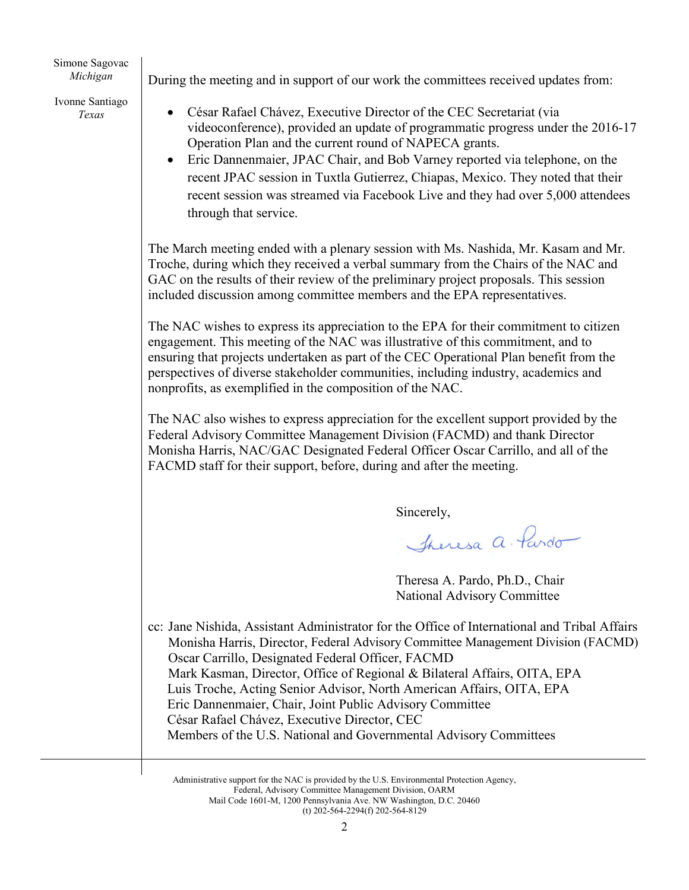Simone Sagovac *Michigan*

Ivonne Santiago *Texas* 

During the meeting and in support of our work the committees received updates from:

- César Rafael Chávez, Executive Director of the CEC Secretariat (via videoconference), provided an update of programmatic progress under the 2016-17 Operation Plan and the current round of NAPECA grants.
- Eric Dannenmaier, JPAC Chair, and Bob Varney reported via telephone, on the recent JPAC session in Tuxtla Gutierrez, Chiapas, Mexico. They noted that their recent session was streamed via Facebook Live and they had over 5,000 attendees through that service.

The March meeting ended with a plenary session with Ms. Nashida, Mr. Kasam and Mr. Troche, during which they received a verbal summary from the Chairs of the NAC and GAC on the results of their review of the preliminary project proposals. This session included discussion among committee members and the EPA representatives.

The NAC wishes to express its appreciation to the EPA for their commitment to citizen engagement. This meeting of the NAC was illustrative of this commitment, and to ensuring that projects undertaken as part of the CEC Operational Plan benefit from the perspectives of diverse stakeholder communities, including industry, academics and nonprofits, as exemplified in the composition of the NAC.

The NAC also wishes to express appreciation for the excellent support provided by the Federal Advisory Committee Management Division (FACMD) and thank Director Monisha Harris, NAC/GAC Designated Federal Officer Oscar Carrillo, and all of the FACMD staff for their support, before, during and after the meeting.

Sincerely,

Theresa a Pardo

Theresa A. Pardo, Ph.D., Chair National Advisory Committee

cc: Jane Nishida, Assistant Administrator for the Office of International and Tribal Affairs Monisha Harris, Director, Federal Advisory Committee Management Division (FACMD) Oscar Carrillo, Designated Federal Officer, FACMD Mark Kasman, Director, Office of Regional & Bilateral Affairs, OITA, EPA Luis Troche, Acting Senior Advisor, North American Affairs, OITA, EPA Eric Dannenmaier, Chair, Joint Public Advisory Committee César Rafael Chávez, Executive Director, CEC Members of the U.S. National and Governmental Advisory Committees

Administrative support for the NAC is provided by the U.S. Environmental Protection Agency, Federal, Advisory Committee Management Division, OARM Mail Code 1601-M, 1200 Pennsylvania Ave. NW Washington, D.C. 20460 (t) 202-564-2294(f) 202-564-8129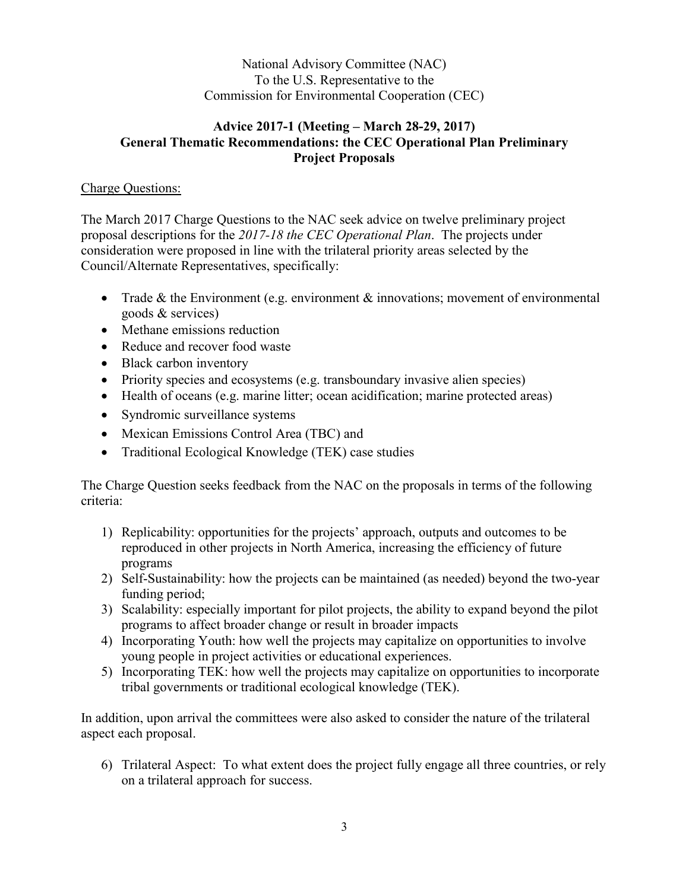National Advisory Committee (NAC) To the U.S. Representative to the Commission for Environmental Cooperation (CEC)

### **Advice 2017-1 (Meeting – March 28-29, 2017) General Thematic Recommendations: the CEC Operational Plan Preliminary Project Proposals**

### Charge Questions:

The March 2017 Charge Questions to the NAC seek advice on twelve preliminary project proposal descriptions for the *2017-18 the CEC Operational Plan*. The projects under consideration were proposed in line with the trilateral priority areas selected by the Council/Alternate Representatives, specifically:

- Trade  $&$  the Environment (e.g. environment  $&$  innovations; movement of environmental goods & services)
- Methane emissions reduction
- Reduce and recover food waste
- Black carbon inventory
- Priority species and ecosystems (e.g. transboundary invasive alien species)
- Health of oceans (e.g. marine litter; ocean acidification; marine protected areas)
- Syndromic surveillance systems
- Mexican Emissions Control Area (TBC) and
- Traditional Ecological Knowledge (TEK) case studies

The Charge Question seeks feedback from the NAC on the proposals in terms of the following criteria:

- 1) Replicability: opportunities for the projects' approach, outputs and outcomes to be reproduced in other projects in North America, increasing the efficiency of future programs
- 2) Self-Sustainability: how the projects can be maintained (as needed) beyond the two-year funding period;
- 3) Scalability: especially important for pilot projects, the ability to expand beyond the pilot programs to affect broader change or result in broader impacts
- 4) Incorporating Youth: how well the projects may capitalize on opportunities to involve young people in project activities or educational experiences.
- 5) Incorporating TEK: how well the projects may capitalize on opportunities to incorporate tribal governments or traditional ecological knowledge (TEK).

In addition, upon arrival the committees were also asked to consider the nature of the trilateral aspect each proposal.

6) Trilateral Aspect: To what extent does the project fully engage all three countries, or rely on a trilateral approach for success.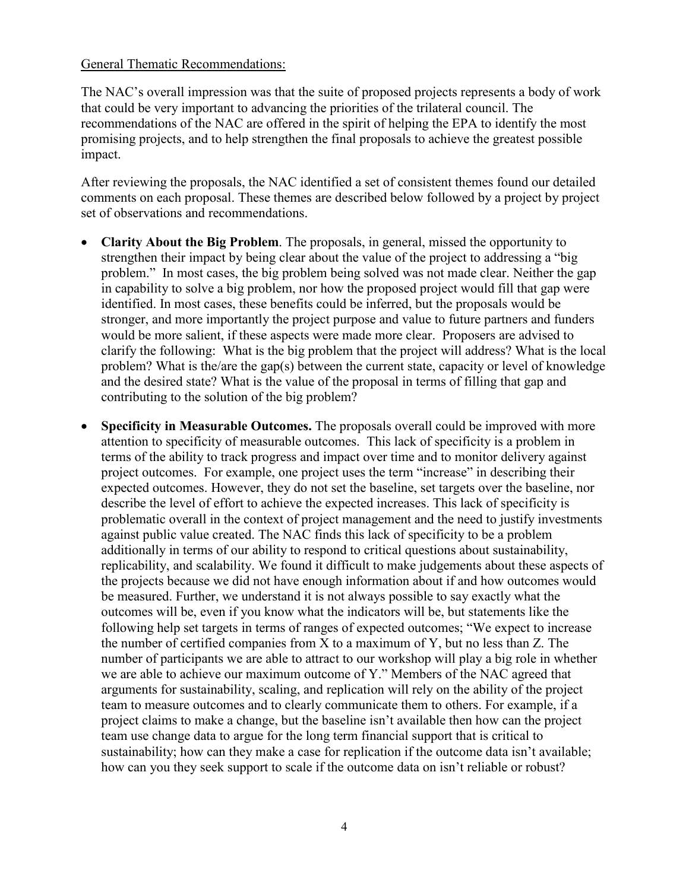#### General Thematic Recommendations:

The NAC's overall impression was that the suite of proposed projects represents a body of work that could be very important to advancing the priorities of the trilateral council. The recommendations of the NAC are offered in the spirit of helping the EPA to identify the most promising projects, and to help strengthen the final proposals to achieve the greatest possible impact.

After reviewing the proposals, the NAC identified a set of consistent themes found our detailed comments on each proposal. These themes are described below followed by a project by project set of observations and recommendations.

- **Clarity About the Big Problem**. The proposals, in general, missed the opportunity to strengthen their impact by being clear about the value of the project to addressing a "big problem." In most cases, the big problem being solved was not made clear. Neither the gap in capability to solve a big problem, nor how the proposed project would fill that gap were identified. In most cases, these benefits could be inferred, but the proposals would be stronger, and more importantly the project purpose and value to future partners and funders would be more salient, if these aspects were made more clear. Proposers are advised to clarify the following: What is the big problem that the project will address? What is the local problem? What is the/are the gap(s) between the current state, capacity or level of knowledge and the desired state? What is the value of the proposal in terms of filling that gap and contributing to the solution of the big problem?
- **Specificity in Measurable Outcomes.** The proposals overall could be improved with more attention to specificity of measurable outcomes. This lack of specificity is a problem in terms of the ability to track progress and impact over time and to monitor delivery against project outcomes. For example, one project uses the term "increase" in describing their expected outcomes. However, they do not set the baseline, set targets over the baseline, nor describe the level of effort to achieve the expected increases. This lack of specificity is problematic overall in the context of project management and the need to justify investments against public value created. The NAC finds this lack of specificity to be a problem additionally in terms of our ability to respond to critical questions about sustainability, replicability, and scalability. We found it difficult to make judgements about these aspects of the projects because we did not have enough information about if and how outcomes would be measured. Further, we understand it is not always possible to say exactly what the outcomes will be, even if you know what the indicators will be, but statements like the following help set targets in terms of ranges of expected outcomes; "We expect to increase the number of certified companies from X to a maximum of Y, but no less than Z. The number of participants we are able to attract to our workshop will play a big role in whether we are able to achieve our maximum outcome of Y." Members of the NAC agreed that arguments for sustainability, scaling, and replication will rely on the ability of the project team to measure outcomes and to clearly communicate them to others. For example, if a project claims to make a change, but the baseline isn't available then how can the project team use change data to argue for the long term financial support that is critical to sustainability; how can they make a case for replication if the outcome data isn't available; how can you they seek support to scale if the outcome data on isn't reliable or robust?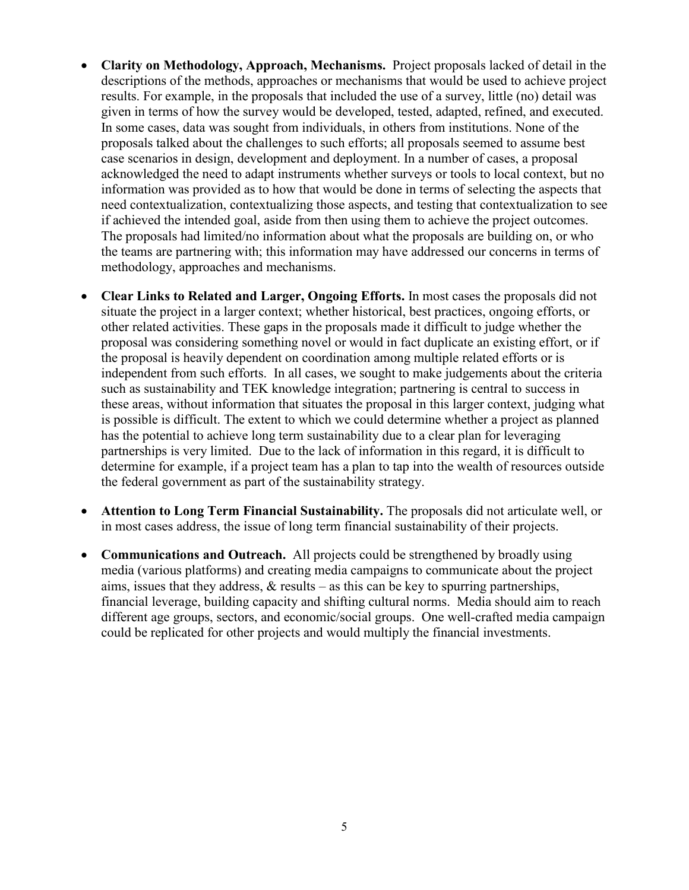- **Clarity on Methodology, Approach, Mechanisms.** Project proposals lacked of detail in the descriptions of the methods, approaches or mechanisms that would be used to achieve project results. For example, in the proposals that included the use of a survey, little (no) detail was given in terms of how the survey would be developed, tested, adapted, refined, and executed. In some cases, data was sought from individuals, in others from institutions. None of the proposals talked about the challenges to such efforts; all proposals seemed to assume best case scenarios in design, development and deployment. In a number of cases, a proposal acknowledged the need to adapt instruments whether surveys or tools to local context, but no information was provided as to how that would be done in terms of selecting the aspects that need contextualization, contextualizing those aspects, and testing that contextualization to see if achieved the intended goal, aside from then using them to achieve the project outcomes. The proposals had limited/no information about what the proposals are building on, or who the teams are partnering with; this information may have addressed our concerns in terms of methodology, approaches and mechanisms.
- **Clear Links to Related and Larger, Ongoing Efforts.** In most cases the proposals did not situate the project in a larger context; whether historical, best practices, ongoing efforts, or other related activities. These gaps in the proposals made it difficult to judge whether the proposal was considering something novel or would in fact duplicate an existing effort, or if the proposal is heavily dependent on coordination among multiple related efforts or is independent from such efforts. In all cases, we sought to make judgements about the criteria such as sustainability and TEK knowledge integration; partnering is central to success in these areas, without information that situates the proposal in this larger context, judging what is possible is difficult. The extent to which we could determine whether a project as planned has the potential to achieve long term sustainability due to a clear plan for leveraging partnerships is very limited. Due to the lack of information in this regard, it is difficult to determine for example, if a project team has a plan to tap into the wealth of resources outside the federal government as part of the sustainability strategy.
- **Attention to Long Term Financial Sustainability.** The proposals did not articulate well, or in most cases address, the issue of long term financial sustainability of their projects.
- **Communications and Outreach.** All projects could be strengthened by broadly using media (various platforms) and creating media campaigns to communicate about the project aims, issues that they address,  $\&$  results – as this can be key to spurring partnerships, financial leverage, building capacity and shifting cultural norms. Media should aim to reach different age groups, sectors, and economic/social groups. One well-crafted media campaign could be replicated for other projects and would multiply the financial investments.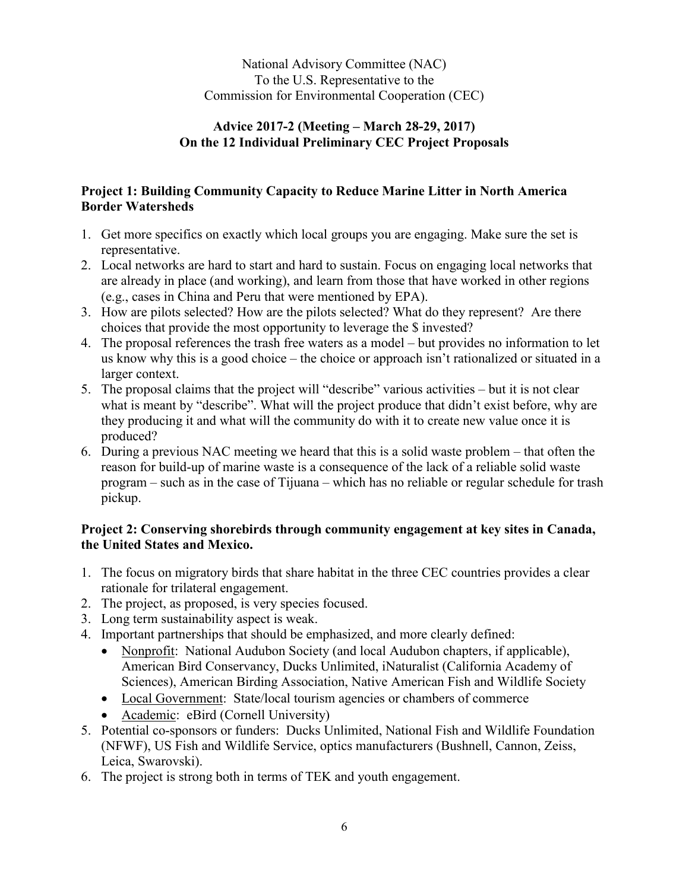National Advisory Committee (NAC) To the U.S. Representative to the Commission for Environmental Cooperation (CEC)

### **Advice 2017-2 (Meeting – March 28-29, 2017) On the 12 Individual Preliminary CEC Project Proposals**

## **Project 1: Building Community Capacity to Reduce Marine Litter in North America Border Watersheds**

- 1. Get more specifics on exactly which local groups you are engaging. Make sure the set is representative.
- 2. Local networks are hard to start and hard to sustain. Focus on engaging local networks that are already in place (and working), and learn from those that have worked in other regions (e.g., cases in China and Peru that were mentioned by EPA).
- 3. How are pilots selected? How are the pilots selected? What do they represent? Are there choices that provide the most opportunity to leverage the \$ invested?
- 4. The proposal references the trash free waters as a model but provides no information to let us know why this is a good choice – the choice or approach isn't rationalized or situated in a larger context.
- 5. The proposal claims that the project will "describe" various activities but it is not clear what is meant by "describe". What will the project produce that didn't exist before, why are they producing it and what will the community do with it to create new value once it is produced?
- 6. During a previous NAC meeting we heard that this is a solid waste problem that often the reason for build-up of marine waste is a consequence of the lack of a reliable solid waste program – such as in the case of Tijuana – which has no reliable or regular schedule for trash pickup.

# **Project 2: Conserving shorebirds through community engagement at key sites in Canada, the United States and Mexico.**

- 1. The focus on migratory birds that share habitat in the three CEC countries provides a clear rationale for trilateral engagement.
- 2. The project, as proposed, is very species focused.
- 3. Long term sustainability aspect is weak.
- 4. Important partnerships that should be emphasized, and more clearly defined:
	- Nonprofit: National Audubon Society (and local Audubon chapters, if applicable), American Bird Conservancy, Ducks Unlimited, iNaturalist (California Academy of Sciences), American Birding Association, Native American Fish and Wildlife Society
	- Local Government: State/local tourism agencies or chambers of commerce
	- Academic: eBird (Cornell University)
- 5. Potential co-sponsors or funders: Ducks Unlimited, National Fish and Wildlife Foundation (NFWF), US Fish and Wildlife Service, optics manufacturers (Bushnell, Cannon, Zeiss, Leica, Swarovski).
- 6. The project is strong both in terms of TEK and youth engagement.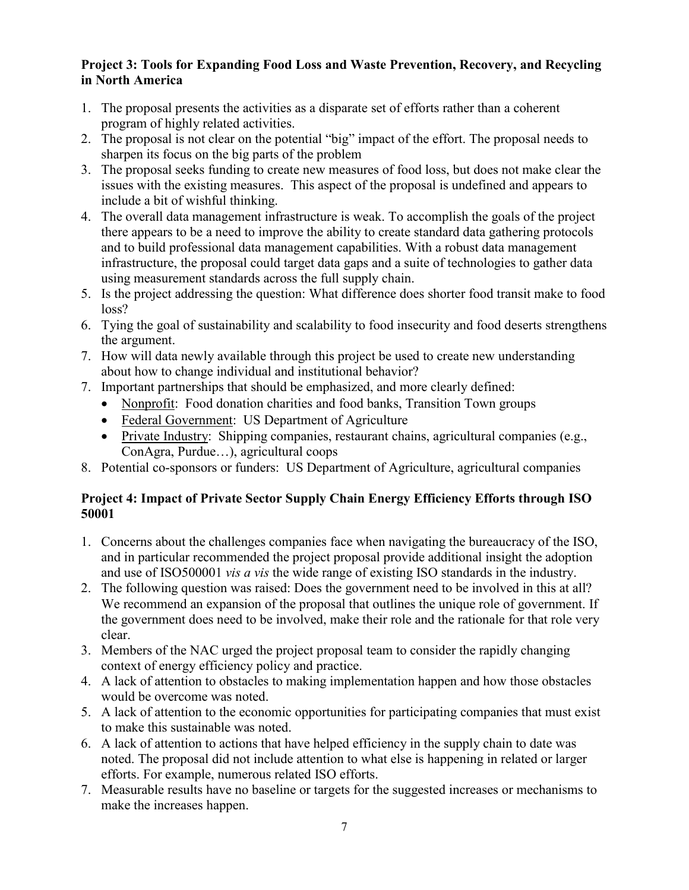# **Project 3: Tools for Expanding Food Loss and Waste Prevention, Recovery, and Recycling in North America**

- 1. The proposal presents the activities as a disparate set of efforts rather than a coherent program of highly related activities.
- 2. The proposal is not clear on the potential "big" impact of the effort. The proposal needs to sharpen its focus on the big parts of the problem
- 3. The proposal seeks funding to create new measures of food loss, but does not make clear the issues with the existing measures. This aspect of the proposal is undefined and appears to include a bit of wishful thinking.
- 4. The overall data management infrastructure is weak. To accomplish the goals of the project there appears to be a need to improve the ability to create standard data gathering protocols and to build professional data management capabilities. With a robust data management infrastructure, the proposal could target data gaps and a suite of technologies to gather data using measurement standards across the full supply chain.
- 5. Is the project addressing the question: What difference does shorter food transit make to food loss?
- 6. Tying the goal of sustainability and scalability to food insecurity and food deserts strengthens the argument.
- 7. How will data newly available through this project be used to create new understanding about how to change individual and institutional behavior?
- 7. Important partnerships that should be emphasized, and more clearly defined:
	- Nonprofit: Food donation charities and food banks, Transition Town groups
	- Federal Government: US Department of Agriculture
	- Private Industry: Shipping companies, restaurant chains, agricultural companies (e.g., ConAgra, Purdue…), agricultural coops
- 8. Potential co-sponsors or funders: US Department of Agriculture, agricultural companies

# **Project 4: Impact of Private Sector Supply Chain Energy Efficiency Efforts through ISO 50001**

- 1. Concerns about the challenges companies face when navigating the bureaucracy of the ISO, and in particular recommended the project proposal provide additional insight the adoption and use of ISO500001 *vis a vis* the wide range of existing ISO standards in the industry.
- 2. The following question was raised: Does the government need to be involved in this at all? We recommend an expansion of the proposal that outlines the unique role of government. If the government does need to be involved, make their role and the rationale for that role very clear.
- 3. Members of the NAC urged the project proposal team to consider the rapidly changing context of energy efficiency policy and practice.
- 4. A lack of attention to obstacles to making implementation happen and how those obstacles would be overcome was noted.
- 5. A lack of attention to the economic opportunities for participating companies that must exist to make this sustainable was noted.
- 6. A lack of attention to actions that have helped efficiency in the supply chain to date was noted. The proposal did not include attention to what else is happening in related or larger efforts. For example, numerous related ISO efforts.
- 7. Measurable results have no baseline or targets for the suggested increases or mechanisms to make the increases happen.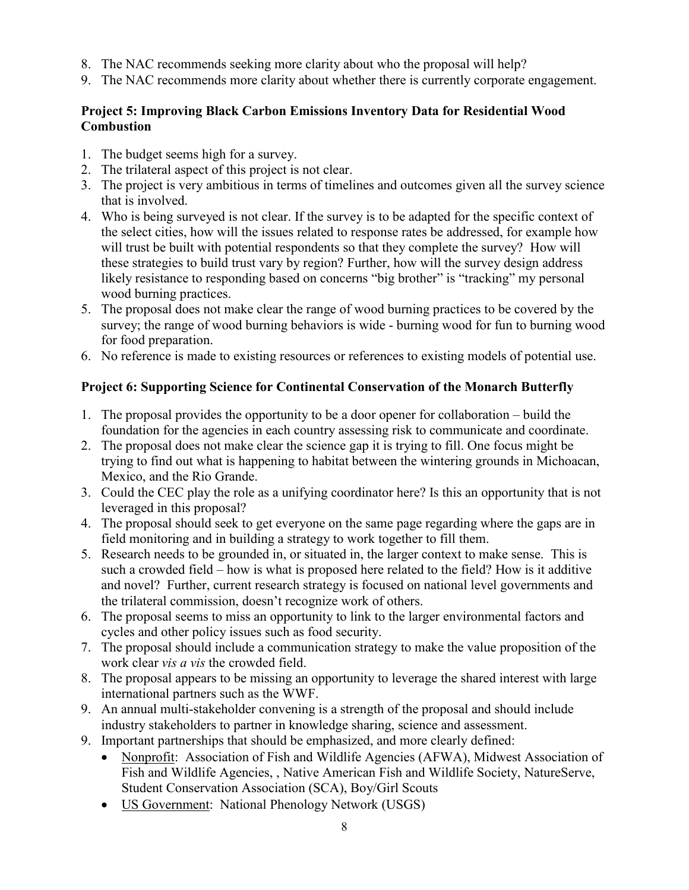- 8. The NAC recommends seeking more clarity about who the proposal will help?
- 9. The NAC recommends more clarity about whether there is currently corporate engagement.

# **Project 5: Improving Black Carbon Emissions Inventory Data for Residential Wood Combustion**

- 1. The budget seems high for a survey.
- 2. The trilateral aspect of this project is not clear.
- 3. The project is very ambitious in terms of timelines and outcomes given all the survey science that is involved.
- 4. Who is being surveyed is not clear. If the survey is to be adapted for the specific context of the select cities, how will the issues related to response rates be addressed, for example how will trust be built with potential respondents so that they complete the survey? How will these strategies to build trust vary by region? Further, how will the survey design address likely resistance to responding based on concerns "big brother" is "tracking" my personal wood burning practices.
- 5. The proposal does not make clear the range of wood burning practices to be covered by the survey; the range of wood burning behaviors is wide - burning wood for fun to burning wood for food preparation.
- 6. No reference is made to existing resources or references to existing models of potential use.

# **Project 6: Supporting Science for Continental Conservation of the Monarch Butterfly**

- 1. The proposal provides the opportunity to be a door opener for collaboration build the foundation for the agencies in each country assessing risk to communicate and coordinate.
- 2. The proposal does not make clear the science gap it is trying to fill. One focus might be trying to find out what is happening to habitat between the wintering grounds in Michoacan, Mexico, and the Rio Grande.
- 3. Could the CEC play the role as a unifying coordinator here? Is this an opportunity that is not leveraged in this proposal?
- 4. The proposal should seek to get everyone on the same page regarding where the gaps are in field monitoring and in building a strategy to work together to fill them.
- 5. Research needs to be grounded in, or situated in, the larger context to make sense. This is such a crowded field – how is what is proposed here related to the field? How is it additive and novel? Further, current research strategy is focused on national level governments and the trilateral commission, doesn't recognize work of others.
- 6. The proposal seems to miss an opportunity to link to the larger environmental factors and cycles and other policy issues such as food security.
- 7. The proposal should include a communication strategy to make the value proposition of the work clear *vis a vis* the crowded field.
- 8. The proposal appears to be missing an opportunity to leverage the shared interest with large international partners such as the WWF.
- 9. An annual multi-stakeholder convening is a strength of the proposal and should include industry stakeholders to partner in knowledge sharing, science and assessment.
- 9. Important partnerships that should be emphasized, and more clearly defined:
	- Nonprofit: Association of Fish and Wildlife Agencies (AFWA), Midwest Association of Fish and Wildlife Agencies, , Native American Fish and Wildlife Society, NatureServe, Student Conservation Association (SCA), Boy/Girl Scouts
	- US Government: National Phenology Network (USGS)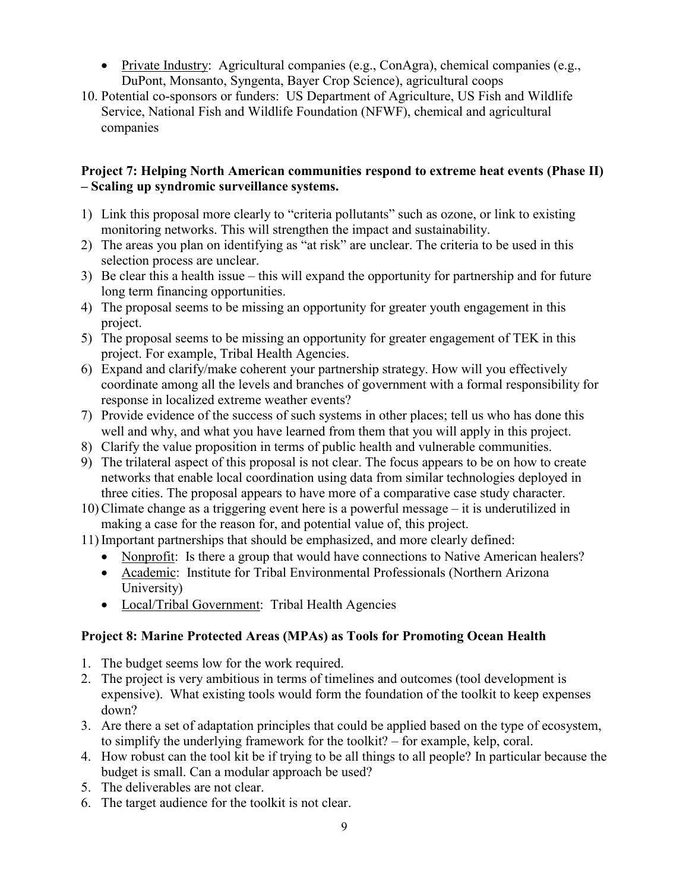- Private Industry: Agricultural companies (e.g., ConAgra), chemical companies (e.g., DuPont, Monsanto, Syngenta, Bayer Crop Science), agricultural coops
- 10. Potential co-sponsors or funders: US Department of Agriculture, US Fish and Wildlife Service, National Fish and Wildlife Foundation (NFWF), chemical and agricultural companies

# **Project 7: Helping North American communities respond to extreme heat events (Phase II) – Scaling up syndromic surveillance systems.**

- 1) Link this proposal more clearly to "criteria pollutants" such as ozone, or link to existing monitoring networks. This will strengthen the impact and sustainability.
- 2) The areas you plan on identifying as "at risk" are unclear. The criteria to be used in this selection process are unclear.
- 3) Be clear this a health issue this will expand the opportunity for partnership and for future long term financing opportunities.
- 4) The proposal seems to be missing an opportunity for greater youth engagement in this project.
- 5) The proposal seems to be missing an opportunity for greater engagement of TEK in this project. For example, Tribal Health Agencies.
- 6) Expand and clarify/make coherent your partnership strategy. How will you effectively coordinate among all the levels and branches of government with a formal responsibility for response in localized extreme weather events?
- 7) Provide evidence of the success of such systems in other places; tell us who has done this well and why, and what you have learned from them that you will apply in this project.
- 8) Clarify the value proposition in terms of public health and vulnerable communities.
- 9) The trilateral aspect of this proposal is not clear. The focus appears to be on how to create networks that enable local coordination using data from similar technologies deployed in three cities. The proposal appears to have more of a comparative case study character.
- 10)Climate change as a triggering event here is a powerful message it is underutilized in making a case for the reason for, and potential value of, this project.
- 11)Important partnerships that should be emphasized, and more clearly defined:
	- Nonprofit: Is there a group that would have connections to Native American healers?
	- Academic: Institute for Tribal Environmental Professionals (Northern Arizona University)
	- Local/Tribal Government: Tribal Health Agencies

# **Project 8: Marine Protected Areas (MPAs) as Tools for Promoting Ocean Health**

- 1. The budget seems low for the work required.
- 2. The project is very ambitious in terms of timelines and outcomes (tool development is expensive). What existing tools would form the foundation of the toolkit to keep expenses down?
- 3. Are there a set of adaptation principles that could be applied based on the type of ecosystem, to simplify the underlying framework for the toolkit? – for example, kelp, coral.
- 4. How robust can the tool kit be if trying to be all things to all people? In particular because the budget is small. Can a modular approach be used?
- 5. The deliverables are not clear.
- 6. The target audience for the toolkit is not clear.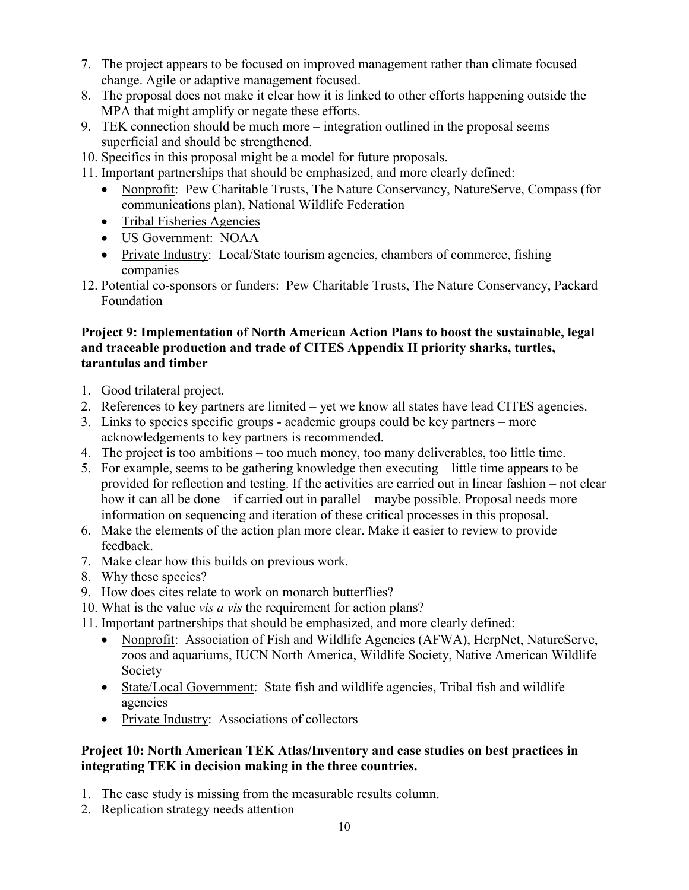- 7. The project appears to be focused on improved management rather than climate focused change. Agile or adaptive management focused.
- 8. The proposal does not make it clear how it is linked to other efforts happening outside the MPA that might amplify or negate these efforts.
- 9. TEK connection should be much more integration outlined in the proposal seems superficial and should be strengthened.
- 10. Specifics in this proposal might be a model for future proposals.
- 11. Important partnerships that should be emphasized, and more clearly defined:
	- Nonprofit: Pew Charitable Trusts, The Nature Conservancy, NatureServe, Compass (for communications plan), National Wildlife Federation
	- Tribal Fisheries Agencies
	- US Government: NOAA
	- Private Industry: Local/State tourism agencies, chambers of commerce, fishing companies
- 12. Potential co-sponsors or funders: Pew Charitable Trusts, The Nature Conservancy, Packard Foundation

### **Project 9: Implementation of North American Action Plans to boost the sustainable, legal and traceable production and trade of CITES Appendix II priority sharks, turtles, tarantulas and timber**

- 1. Good trilateral project.
- 2. References to key partners are limited yet we know all states have lead CITES agencies.
- 3. Links to species specific groups academic groups could be key partners more acknowledgements to key partners is recommended.
- 4. The project is too ambitions too much money, too many deliverables, too little time.
- 5. For example, seems to be gathering knowledge then executing little time appears to be provided for reflection and testing. If the activities are carried out in linear fashion – not clear how it can all be done – if carried out in parallel – maybe possible. Proposal needs more information on sequencing and iteration of these critical processes in this proposal.
- 6. Make the elements of the action plan more clear. Make it easier to review to provide feedback.
- 7. Make clear how this builds on previous work.
- 8. Why these species?
- 9. How does cites relate to work on monarch butterflies?
- 10. What is the value *vis a vis* the requirement for action plans?
- 11. Important partnerships that should be emphasized, and more clearly defined:
	- Nonprofit: Association of Fish and Wildlife Agencies (AFWA), HerpNet, NatureServe, zoos and aquariums, IUCN North America, Wildlife Society, Native American Wildlife Society
	- State/Local Government: State fish and wildlife agencies, Tribal fish and wildlife agencies
	- Private Industry: Associations of collectors

### **Project 10: North American TEK Atlas/Inventory and case studies on best practices in integrating TEK in decision making in the three countries.**

- 1. The case study is missing from the measurable results column.
- 2. Replication strategy needs attention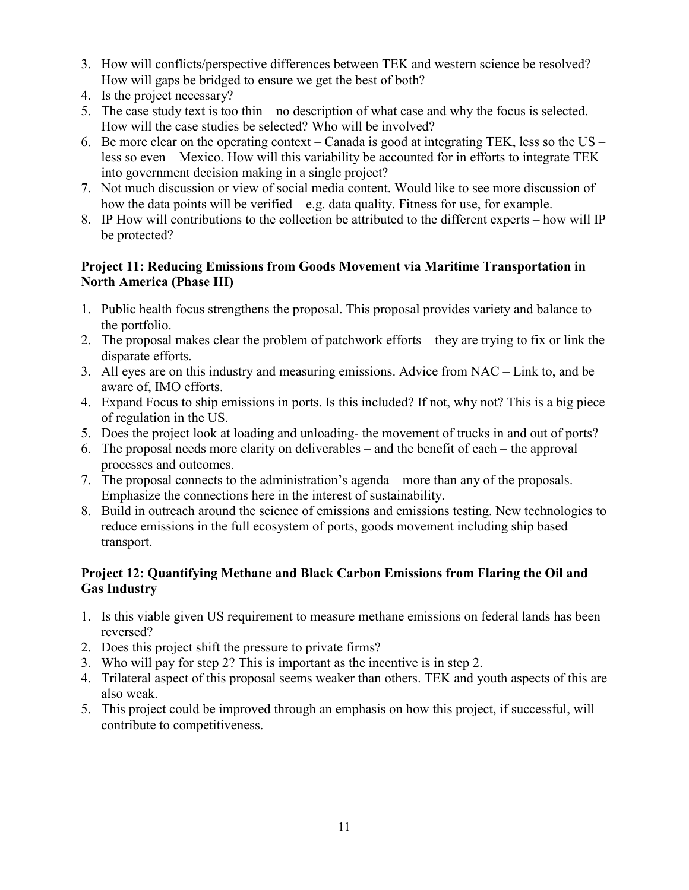- 3. How will conflicts/perspective differences between TEK and western science be resolved? How will gaps be bridged to ensure we get the best of both?
- 4. Is the project necessary?
- 5. The case study text is too thin no description of what case and why the focus is selected. How will the case studies be selected? Who will be involved?
- 6. Be more clear on the operating context Canada is good at integrating TEK, less so the US less so even – Mexico. How will this variability be accounted for in efforts to integrate TEK into government decision making in a single project?
- 7. Not much discussion or view of social media content. Would like to see more discussion of how the data points will be verified – e.g. data quality. Fitness for use, for example.
- 8. IP How will contributions to the collection be attributed to the different experts how will IP be protected?

# **Project 11: Reducing Emissions from Goods Movement via Maritime Transportation in North America (Phase III)**

- 1. Public health focus strengthens the proposal. This proposal provides variety and balance to the portfolio.
- 2. The proposal makes clear the problem of patchwork efforts they are trying to fix or link the disparate efforts.
- 3. All eyes are on this industry and measuring emissions. Advice from NAC Link to, and be aware of, IMO efforts.
- 4. Expand Focus to ship emissions in ports. Is this included? If not, why not? This is a big piece of regulation in the US.
- 5. Does the project look at loading and unloading- the movement of trucks in and out of ports?
- 6. The proposal needs more clarity on deliverables and the benefit of each the approval processes and outcomes.
- 7. The proposal connects to the administration's agenda more than any of the proposals. Emphasize the connections here in the interest of sustainability.
- 8. Build in outreach around the science of emissions and emissions testing. New technologies to reduce emissions in the full ecosystem of ports, goods movement including ship based transport.

# **Project 12: Quantifying Methane and Black Carbon Emissions from Flaring the Oil and Gas Industry**

- 1. Is this viable given US requirement to measure methane emissions on federal lands has been reversed?
- 2. Does this project shift the pressure to private firms?
- 3. Who will pay for step 2? This is important as the incentive is in step 2.
- 4. Trilateral aspect of this proposal seems weaker than others. TEK and youth aspects of this are also weak.
- 5. This project could be improved through an emphasis on how this project, if successful, will contribute to competitiveness.